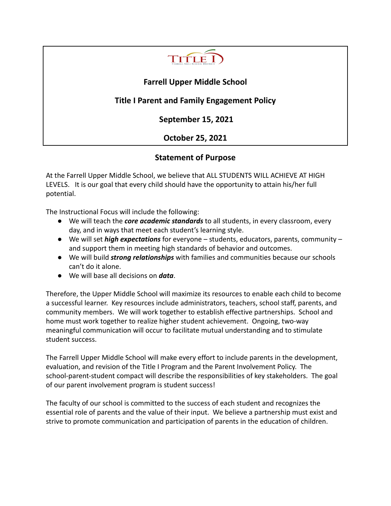

# **Farrell Upper Middle School**

# **Title I Parent and Family Engagement Policy**

**September 15, 2021**

# **October 25, 2021**

# **Statement of Purpose**

At the Farrell Upper Middle School, we believe that ALL STUDENTS WILL ACHIEVE AT HIGH LEVELS. It is our goal that every child should have the opportunity to attain his/her full potential.

The Instructional Focus will include the following:

- We will teach the *core academic standards* to all students, in every classroom, every day, and in ways that meet each student's learning style.
- We will set *high expectations* for everyone students, educators, parents, community and support them in meeting high standards of behavior and outcomes.
- We will build *strong relationships* with families and communities because our schools can't do it alone.
- We will base all decisions on *data*.

Therefore, the Upper Middle School will maximize its resources to enable each child to become a successful learner. Key resources include administrators, teachers, school staff, parents, and community members. We will work together to establish effective partnerships. School and home must work together to realize higher student achievement. Ongoing, two-way meaningful communication will occur to facilitate mutual understanding and to stimulate student success.

The Farrell Upper Middle School will make every effort to include parents in the development, evaluation, and revision of the Title I Program and the Parent Involvement Policy. The school-parent-student compact will describe the responsibilities of key stakeholders. The goal of our parent involvement program is student success!

The faculty of our school is committed to the success of each student and recognizes the essential role of parents and the value of their input. We believe a partnership must exist and strive to promote communication and participation of parents in the education of children.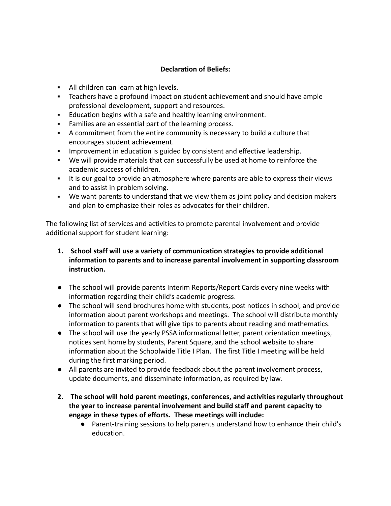### **Declaration of Beliefs:**

- **EXECT** All children can learn at high levels.
- Teachers have a profound impact on student achievement and should have ample professional development, support and resources.
- **Education begins with a safe and healthy learning environment.**
- Families are an essential part of the learning process.
- A commitment from the entire community is necessary to build a culture that encourages student achievement.
- **EXED** Improvement in education is guided by consistent and effective leadership.
- We will provide materials that can successfully be used at home to reinforce the academic success of children.
- **.** It is our goal to provide an atmosphere where parents are able to express their views and to assist in problem solving.
- We want parents to understand that we view them as joint policy and decision makers and plan to emphasize their roles as advocates for their children.

The following list of services and activities to promote parental involvement and provide additional support for student learning:

- **1. School staff will use a variety of communication strategies to provide additional information to parents and to increase parental involvement in supporting classroom instruction.**
- The school will provide parents Interim Reports/Report Cards every nine weeks with information regarding their child's academic progress.
- The school will send brochures home with students, post notices in school, and provide information about parent workshops and meetings. The school will distribute monthly information to parents that will give tips to parents about reading and mathematics.
- The school will use the yearly PSSA informational letter, parent orientation meetings, notices sent home by students, Parent Square, and the school website to share information about the Schoolwide Title I Plan. The first Title I meeting will be held during the first marking period.
- All parents are invited to provide feedback about the parent involvement process, update documents, and disseminate information, as required by law.
- **2. The school will hold parent meetings, conferences, and activities regularly throughout the year to increase parental involvement and build staff and parent capacity to engage in these types of efforts. These meetings will include:**
	- Parent-training sessions to help parents understand how to enhance their child's education.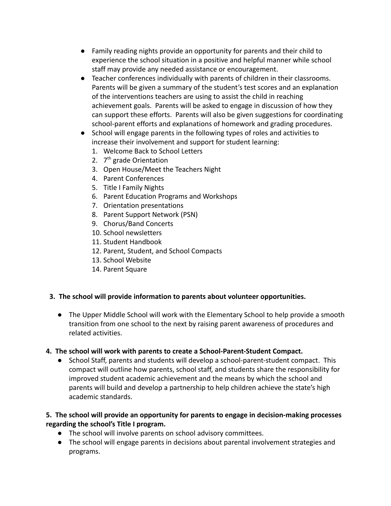- Family reading nights provide an opportunity for parents and their child to experience the school situation in a positive and helpful manner while school staff may provide any needed assistance or encouragement.
- Teacher conferences individually with parents of children in their classrooms. Parents will be given a summary of the student's test scores and an explanation of the interventions teachers are using to assist the child in reaching achievement goals. Parents will be asked to engage in discussion of how they can support these efforts. Parents will also be given suggestions for coordinating school-parent efforts and explanations of homework and grading procedures.
- School will engage parents in the following types of roles and activities to increase their involvement and support for student learning:
	- 1. Welcome Back to School Letters
	- 2. 7<sup>th</sup> grade Orientation
	- 3. Open House/Meet the Teachers Night
	- 4. Parent Conferences
	- 5. Title I Family Nights
	- 6. Parent Education Programs and Workshops
	- 7. Orientation presentations
	- 8. Parent Support Network (PSN)
	- 9. Chorus/Band Concerts
	- 10. School newsletters
	- 11. Student Handbook
	- 12. Parent, Student, and School Compacts
	- 13. School Website
	- 14. Parent Square

### **3. The school will provide information to parents about volunteer opportunities.**

● The Upper Middle School will work with the Elementary School to help provide a smooth transition from one school to the next by raising parent awareness of procedures and related activities.

### **4. The school will work with parents to create a School-Parent-Student Compact.**

● School Staff, parents and students will develop a school-parent-student compact. This compact will outline how parents, school staff, and students share the responsibility for improved student academic achievement and the means by which the school and parents will build and develop a partnership to help children achieve the state's high academic standards.

### **5. The school will provide an opportunity for parents to engage in decision-making processes regarding the school's Title I program.**

- The school will involve parents on school advisory committees.
- The school will engage parents in decisions about parental involvement strategies and programs.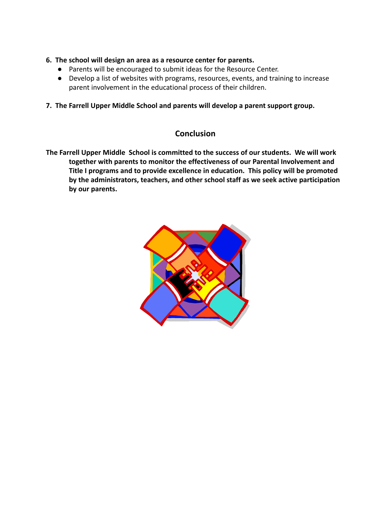- **6. The school will design an area as a resource center for parents.**
	- Parents will be encouraged to submit ideas for the Resource Center.
	- Develop a list of websites with programs, resources, events, and training to increase parent involvement in the educational process of their children.
- **7. The Farrell Upper Middle School and parents will develop a parent support group.**

## **Conclusion**

**The Farrell Upper Middle School is committed to the success of our students. We will work together with parents to monitor the effectiveness of our Parental Involvement and Title I programs and to provide excellence in education. This policy will be promoted by the administrators, teachers, and other school staff as we seek active participation by our parents.**

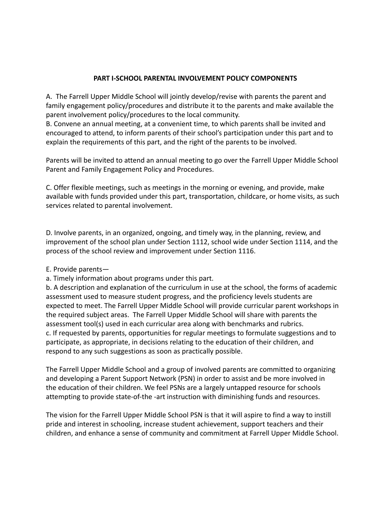#### **PART I-SCHOOL PARENTAL INVOLVEMENT POLICY COMPONENTS**

A. The Farrell Upper Middle School will jointly develop/revise with parents the parent and family engagement policy/procedures and distribute it to the parents and make available the parent involvement policy/procedures to the local community.

B. Convene an annual meeting, at a convenient time, to which parents shall be invited and encouraged to attend, to inform parents of their school's participation under this part and to explain the requirements of this part, and the right of the parents to be involved.

Parents will be invited to attend an annual meeting to go over the Farrell Upper Middle School Parent and Family Engagement Policy and Procedures.

C. Offer flexible meetings, such as meetings in the morning or evening, and provide, make available with funds provided under this part, transportation, childcare, or home visits, as such services related to parental involvement.

D. Involve parents, in an organized, ongoing, and timely way, in the planning, review, and improvement of the school plan under Section 1112, school wide under Section 1114, and the process of the school review and improvement under Section 1116.

### E. Provide parents—

a. Timely information about programs under this part.

b. A description and explanation of the curriculum in use at the school, the forms of academic assessment used to measure student progress, and the proficiency levels students are expected to meet. The Farrell Upper Middle School will provide curricular parent workshops in the required subject areas. The Farrell Upper Middle School will share with parents the assessment tool(s) used in each curricular area along with benchmarks and rubrics. c. If requested by parents, opportunities for regular meetings to formulate suggestions and to participate, as appropriate, in decisions relating to the education of their children, and respond to any such suggestions as soon as practically possible.

The Farrell Upper Middle School and a group of involved parents are committed to organizing and developing a Parent Support Network (PSN) in order to assist and be more involved in the education of their children. We feel PSNs are a largely untapped resource for schools attempting to provide state-of-the -art instruction with diminishing funds and resources.

The vision for the Farrell Upper Middle School PSN is that it will aspire to find a way to instill pride and interest in schooling, increase student achievement, support teachers and their children, and enhance a sense of community and commitment at Farrell Upper Middle School.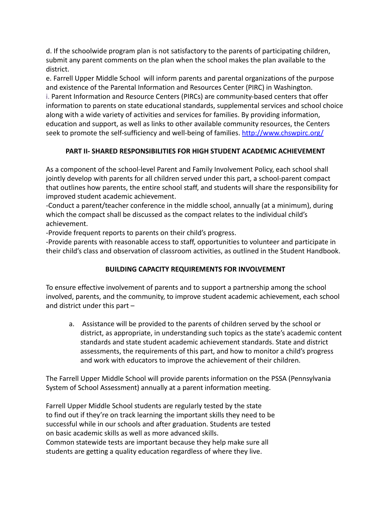d. If the schoolwide program plan is not satisfactory to the parents of participating children, submit any parent comments on the plan when the school makes the plan available to the district.

e. Farrell Upper Middle School will inform parents and parental organizations of the purpose and existence of the Parental Information and Resources Center (PIRC) in Washington. i. Parent Information and Resource Centers (PIRCs) are community-based centers that offer information to parents on state educational standards, supplemental services and school choice along with a wide variety of activities and services for families. By providing information, education and support, as well as links to other available community resources, the Centers seek to promote the self-sufficiency and well-being of families. <http://www.chswpirc.org/>

## **PART II- SHARED RESPONSIBILITIES FOR HIGH STUDENT ACADEMIC ACHIEVEMENT**

As a component of the school-level Parent and Family Involvement Policy, each school shall jointly develop with parents for all children served under this part, a school-parent compact that outlines how parents, the entire school staff, and students will share the responsibility for improved student academic achievement.

-Conduct a parent/teacher conference in the middle school, annually (at a minimum), during which the compact shall be discussed as the compact relates to the individual child's achievement.

-Provide frequent reports to parents on their child's progress.

-Provide parents with reasonable access to staff, opportunities to volunteer and participate in their child's class and observation of classroom activities, as outlined in the Student Handbook.

## **BUILDING CAPACITY REQUIREMENTS FOR INVOLVEMENT**

To ensure effective involvement of parents and to support a partnership among the school involved, parents, and the community, to improve student academic achievement, each school and district under this part –

a. Assistance will be provided to the parents of children served by the school or district, as appropriate, in understanding such topics as the state's academic content standards and state student academic achievement standards. State and district assessments, the requirements of this part, and how to monitor a child's progress and work with educators to improve the achievement of their children.

The Farrell Upper Middle School will provide parents information on the PSSA (Pennsylvania System of School Assessment) annually at a parent information meeting.

Farrell Upper Middle School students are regularly tested by the state to find out if they're on track learning the important skills they need to be successful while in our schools and after graduation. Students are tested on basic academic skills as well as more advanced skills. Common statewide tests are important because they help make sure all students are getting a quality education regardless of where they live.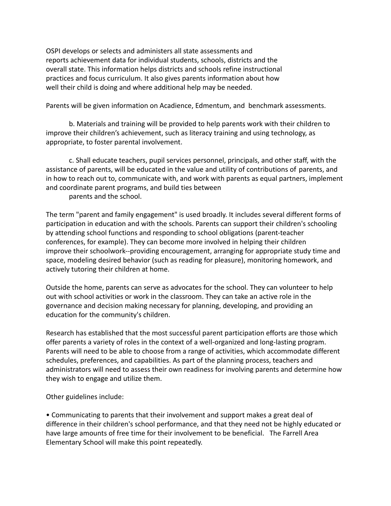OSPI develops or selects and administers all state assessments and reports achievement data for individual students, schools, districts and the overall state. This information helps districts and schools refine instructional practices and focus curriculum. It also gives parents information about how well their child is doing and where additional help may be needed.

Parents will be given information on Acadience, Edmentum, and benchmark assessments.

b. Materials and training will be provided to help parents work with their children to improve their children's achievement, such as literacy training and using technology, as appropriate, to foster parental involvement.

c. Shall educate teachers, pupil services personnel, principals, and other staff, with the assistance of parents, will be educated in the value and utility of contributions of parents, and in how to reach out to, communicate with, and work with parents as equal partners, implement and coordinate parent programs, and build ties between parents and the school.

The term "parent and family engagement" is used broadly. It includes several different forms of participation in education and with the schools. Parents can support their children's schooling by attending school functions and responding to school obligations (parent-teacher conferences, for example). They can become more involved in helping their children improve their schoolwork--providing encouragement, arranging for appropriate study time and space, modeling desired behavior (such as reading for pleasure), monitoring homework, and actively tutoring their children at home.

Outside the home, parents can serve as advocates for the school. They can volunteer to help out with school activities or work in the classroom. They can take an active role in the governance and decision making necessary for planning, developing, and providing an education for the community's children.

Research has established that the most successful parent participation efforts are those which offer parents a variety of roles in the context of a well-organized and long-lasting program. Parents will need to be able to choose from a range of activities, which accommodate different schedules, preferences, and capabilities. As part of the planning process, teachers and administrators will need to assess their own readiness for involving parents and determine how they wish to engage and utilize them.

Other guidelines include:

• Communicating to parents that their involvement and support makes a great deal of difference in their children's school performance, and that they need not be highly educated or have large amounts of free time for their involvement to be beneficial. The Farrell Area Elementary School will make this point repeatedly.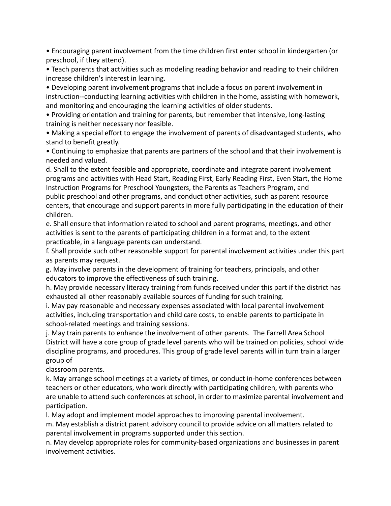• Encouraging parent involvement from the time children first enter school in kindergarten (or preschool, if they attend).

• Teach parents that activities such as modeling reading behavior and reading to their children increase children's interest in learning.

• Developing parent involvement programs that include a focus on parent involvement in instruction--conducting learning activities with children in the home, assisting with homework, and monitoring and encouraging the learning activities of older students.

• Providing orientation and training for parents, but remember that intensive, long-lasting training is neither necessary nor feasible.

• Making a special effort to engage the involvement of parents of disadvantaged students, who stand to benefit greatly.

• Continuing to emphasize that parents are partners of the school and that their involvement is needed and valued.

d. Shall to the extent feasible and appropriate, coordinate and integrate parent involvement programs and activities with Head Start, Reading First, Early Reading First, Even Start, the Home Instruction Programs for Preschool Youngsters, the Parents as Teachers Program, and public preschool and other programs, and conduct other activities, such as parent resource centers, that encourage and support parents in more fully participating in the education of their children.

e. Shall ensure that information related to school and parent programs, meetings, and other activities is sent to the parents of participating children in a format and, to the extent practicable, in a language parents can understand.

f. Shall provide such other reasonable support for parental involvement activities under this part as parents may request.

g. May involve parents in the development of training for teachers, principals, and other educators to improve the effectiveness of such training.

h. May provide necessary literacy training from funds received under this part if the district has exhausted all other reasonably available sources of funding for such training.

i. May pay reasonable and necessary expenses associated with local parental involvement activities, including transportation and child care costs, to enable parents to participate in school-related meetings and training sessions.

j. May train parents to enhance the involvement of other parents. The Farrell Area School District will have a core group of grade level parents who will be trained on policies, school wide discipline programs, and procedures. This group of grade level parents will in turn train a larger group of

classroom parents.

k. May arrange school meetings at a variety of times, or conduct in-home conferences between teachers or other educators, who work directly with participating children, with parents who are unable to attend such conferences at school, in order to maximize parental involvement and participation.

l. May adopt and implement model approaches to improving parental involvement.

m. May establish a district parent advisory council to provide advice on all matters related to parental involvement in programs supported under this section.

n. May develop appropriate roles for community-based organizations and businesses in parent involvement activities.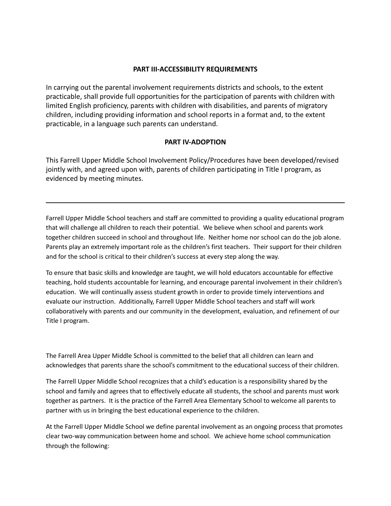#### **PART III-ACCESSIBILITY REQUIREMENTS**

In carrying out the parental involvement requirements districts and schools, to the extent practicable, shall provide full opportunities for the participation of parents with children with limited English proficiency, parents with children with disabilities, and parents of migratory children, including providing information and school reports in a format and, to the extent practicable, in a language such parents can understand.

#### **PART IV-ADOPTION**

This Farrell Upper Middle School Involvement Policy/Procedures have been developed/revised jointly with, and agreed upon with, parents of children participating in Title I program, as evidenced by meeting minutes.

Farrell Upper Middle School teachers and staff are committed to providing a quality educational program that will challenge all children to reach their potential. We believe when school and parents work together children succeed in school and throughout life. Neither home nor school can do the job alone. Parents play an extremely important role as the children's first teachers. Their support for their children and for the school is critical to their children's success at every step along the way.

To ensure that basic skills and knowledge are taught, we will hold educators accountable for effective teaching, hold students accountable for learning, and encourage parental involvement in their children's education. We will continually assess student growth in order to provide timely interventions and evaluate our instruction. Additionally, Farrell Upper Middle School teachers and staff will work collaboratively with parents and our community in the development, evaluation, and refinement of our Title I program.

The Farrell Area Upper Middle School is committed to the belief that all children can learn and acknowledges that parents share the school's commitment to the educational success of their children.

The Farrell Upper Middle School recognizes that a child's education is a responsibility shared by the school and family and agrees that to effectively educate all students, the school and parents must work together as partners. It is the practice of the Farrell Area Elementary School to welcome all parents to partner with us in bringing the best educational experience to the children.

At the Farrell Upper Middle School we define parental involvement as an ongoing process that promotes clear two-way communication between home and school. We achieve home school communication through the following: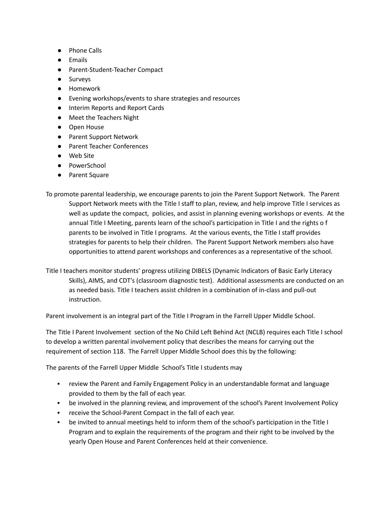- Phone Calls
- Emails
- Parent-Student-Teacher Compact
- Surveys
- Homework
- Evening workshops/events to share strategies and resources
- Interim Reports and Report Cards
- Meet the Teachers Night
- Open House
- Parent Support Network
- Parent Teacher Conferences
- Web Site
- PowerSchool
- Parent Square

To promote parental leadership, we encourage parents to join the Parent Support Network. The Parent Support Network meets with the Title I staff to plan, review, and help improve Title I services as well as update the compact, policies, and assist in planning evening workshops or events. At the annual Title I Meeting, parents learn of the school's participation in Title I and the rights o f parents to be involved in Title I programs. At the various events, the Title I staff provides strategies for parents to help their children. The Parent Support Network members also have opportunities to attend parent workshops and conferences as a representative of the school.

Title I teachers monitor students' progress utilizing DIBELS (Dynamic Indicators of Basic Early Literacy Skills), AIMS, and CDT's (classroom diagnostic test). Additional assessments are conducted on an as needed basis. Title I teachers assist children in a combination of in-class and pull-out instruction.

Parent involvement is an integral part of the Title I Program in the Farrell Upper Middle School.

The Title I Parent Involvement section of the No Child Left Behind Act (NCLB) requires each Title I school to develop a written parental involvement policy that describes the means for carrying out the requirement of section 118. The Farrell Upper Middle School does this by the following:

The parents of the Farrell Upper Middle School's Title I students may

- review the Parent and Family Engagement Policy in an understandable format and language provided to them by the fall of each year.
- **•** be involved in the planning review, and improvement of the school's Parent Involvement Policy
- receive the School-Parent Compact in the fall of each year.
- be invited to annual meetings held to inform them of the school's participation in the Title I Program and to explain the requirements of the program and their right to be involved by the yearly Open House and Parent Conferences held at their convenience.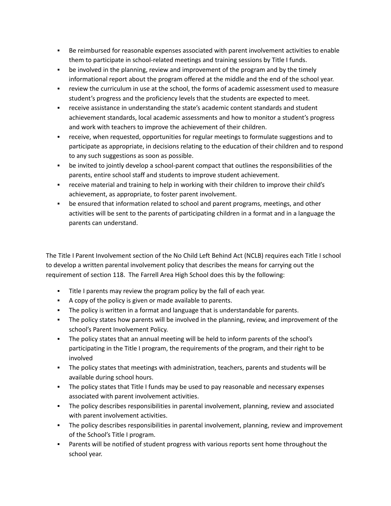- Be reimbursed for reasonable expenses associated with parent involvement activities to enable them to participate in school-related meetings and training sessions by Title I funds.
- **•** be involved in the planning, review and improvement of the program and by the timely informational report about the program offered at the middle and the end of the school year.
- review the curriculum in use at the school, the forms of academic assessment used to measure student's progress and the proficiency levels that the students are expected to meet.
- **•** receive assistance in understanding the state's academic content standards and student achievement standards, local academic assessments and how to monitor a student's progress and work with teachers to improve the achievement of their children.
- receive, when requested, opportunities for regular meetings to formulate suggestions and to participate as appropriate, in decisions relating to the education of their children and to respond to any such suggestions as soon as possible.
- be invited to jointly develop a school-parent compact that outlines the responsibilities of the parents, entire school staff and students to improve student achievement.
- receive material and training to help in working with their children to improve their child's achievement, as appropriate, to foster parent involvement.
- **•** be ensured that information related to school and parent programs, meetings, and other activities will be sent to the parents of participating children in a format and in a language the parents can understand.

The Title I Parent Involvement section of the No Child Left Behind Act (NCLB) requires each Title I school to develop a written parental involvement policy that describes the means for carrying out the requirement of section 118. The Farrell Area High School does this by the following:

- Title I parents may review the program policy by the fall of each year.
- A copy of the policy is given or made available to parents.
- The policy is written in a format and language that is understandable for parents.
- The policy states how parents will be involved in the planning, review, and improvement of the school's Parent Involvement Policy.
- The policy states that an annual meeting will be held to inform parents of the school's participating in the Title I program, the requirements of the program, and their right to be involved
- The policy states that meetings with administration, teachers, parents and students will be available during school hours.
- The policy states that Title I funds may be used to pay reasonable and necessary expenses associated with parent involvement activities.
- The policy describes responsibilities in parental involvement, planning, review and associated with parent involvement activities.
- The policy describes responsibilities in parental involvement, planning, review and improvement of the School's Title I program.
- Parents will be notified of student progress with various reports sent home throughout the school year.